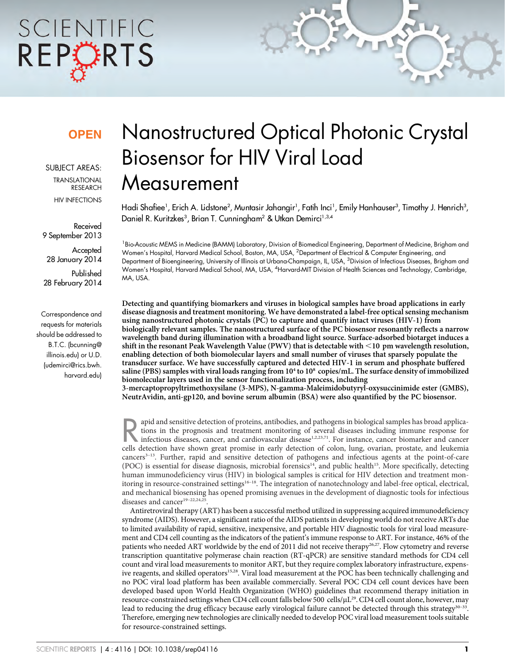# SCIENTIFIC REPCRTS

### **OPEN**

SUBJECT AREAS: TRANSLATIONAL RESEARCH HIV INFECTIONS

Received 9 September 2013

**Accepted** 28 January 2014

Published 28 February 2014

Correspondence and requests for materials should be addressed to B.T.C. (bcunning@ illinois.edu) or U.D. (udemirci@rics.bwh. harvard.edu)

## Nanostructured Optical Photonic Crystal Biosensor for HIV Viral Load **Measurement**

Hadi Shafiee', Erich A. Lidstone<sup>2</sup>, Muntasir Jahangir', Fatih Inci', Emily Hanhauser<sup>3</sup>, Timothy J. Henrich<sup>3</sup>, Daniel R. Kuritzkes<sup>3</sup>, Brian T. Cunningham<sup>2</sup> & Utkan Demirci<sup>1,3,4</sup>

<sup>1</sup> Bio-Acoustic MEMS in Medicine (BAMM) Laboratory, Division of Biomedical Engineering, Department of Medicine, Brigham and Women's Hospital, Harvard Medical School, Boston, MA, USA, <sup>2</sup>Department of Electrical & Computer Engineering, and Department of Bioengineering, University of Illinois at Urbana-Champaign, IL, USA, <sup>3</sup>Division of Infectious Diseases, Brigham and Women's Hospital, Harvard Medical School, MA, USA, <sup>4</sup> Harvard-MIT Division of Health Sciences and Technology, Cambridge, MA, USA.

Detecting and quantifying biomarkers and viruses in biological samples have broad applications in early disease diagnosis and treatment monitoring. We have demonstrated a label-free optical sensing mechanism using nanostructured photonic crystals (PC) to capture and quantify intact viruses (HIV-1) from biologically relevant samples. The nanostructured surface of the PC biosensor resonantly reflects a narrow wavelength band during illumination with a broadband light source. Surface-adsorbed biotarget induces a shift in the resonant Peak Wavelength Value (PWV) that is detectable with  $\leq$  10 pm wavelength resolution, enabling detection of both biomolecular layers and small number of viruses that sparsely populate the transducer surface. We have successfully captured and detected HIV-1 in serum and phosphate buffered saline (PBS) samples with viral loads ranging from  $10^4$  to  $10^8$  copies/mL. The surface density of immobilized biomolecular layers used in the sensor functionalization process, including

3-mercaptopropyltrimethoxysilane (3-MPS), N-gamma-Maleimidobutyryl-oxysuccinimide ester (GMBS), NeutrAvidin, anti-gp120, and bovine serum albumin (BSA) were also quantified by the PC biosensor.

apid and sensitive detection of proteins, antibodies, and pathogens in biological samples has broad applica-<br>tions in the prognosis and treatment monitoring of several diseases including immune response for<br>infectious dise tions in the prognosis and treatment monitoring of several diseases including immune response for cells detection have shown great promise in early detection of colon, lung, ovarian, prostate, and leukemia cancers3–13. Further, rapid and sensitive detection of pathogens and infectious agents at the point-of-care (POC) is essential for disease diagnosis, microbial forensics<sup>14</sup>, and public health<sup>15</sup>. More specifically, detecting human immunodeficiency virus (HIV) in biological samples is critical for HIV detection and treatment monitoring in resource-constrained settings16–18. The integration of nanotechnology and label-free optical, electrical, and mechanical biosensing has opened promising avenues in the development of diagnostic tools for infectious diseases and cancer<sup>19-22,24,25</sup>

Antiretroviral therapy (ART) has been a successful method utilized in suppressing acquired immunodeficiency syndrome (AIDS). However, a significant ratio of the AIDS patients in developing world do not receive ARTs due to limited availability of rapid, sensitive, inexpensive, and portable HIV diagnostic tools for viral load measurement and CD4 cell counting as the indicators of the patient's immune response to ART. For instance, 46% of the patients who needed ART worldwide by the end of 2011 did not receive therapy<sup>26,27</sup>. Flow cytometry and reverse transcription quantitative polymerase chain reaction (RT-qPCR) are sensitive standard methods for CD4 cell count and viral load measurements to monitor ART, but they require complex laboratory infrastructure, expensive reagents, and skilled operators<sup>15,28</sup>. Viral load measurement at the POC has been technically challenging and no POC viral load platform has been available commercially. Several POC CD4 cell count devices have been developed based upon World Health Organization (WHO) guidelines that recommend therapy initiation in resource-constrained settings when CD4 cell count falls below 500 cells/µL<sup>29</sup>. CD4 cell count alone, however, may lead to reducing the drug efficacy because early virological failure cannot be detected through this strategy<sup>30–33</sup>. Therefore, emerging new technologies are clinically needed to develop POC viral load measurement tools suitable for resource-constrained settings.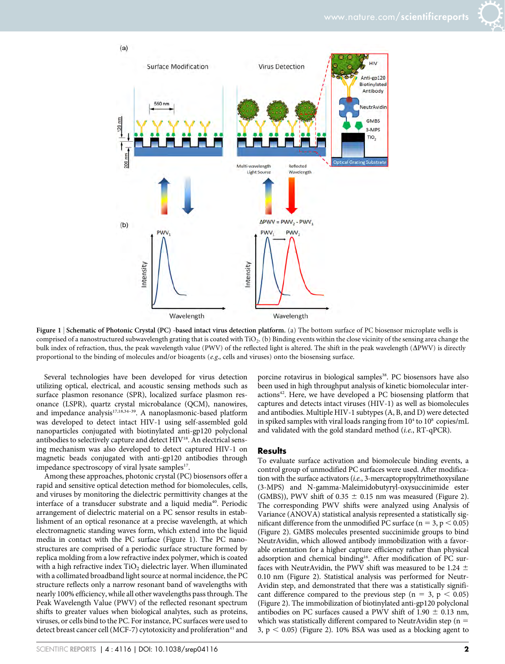



Figure 1 | Schematic of Photonic Crystal (PC) -based intact virus detection platform. (a) The bottom surface of PC biosensor microplate wells is comprised of a nanostructured subwavelength grating that is coated with TiO2. (b) Binding events within the close vicinity of the sensing area change the bulk index of refraction, thus, the peak wavelength value (PWV) of the reflected light is altered. The shift in the peak wavelength ( $\Delta$ PWV) is directly proportional to the binding of molecules and/or bioagents (e.g., cells and viruses) onto the biosensing surface.

Several technologies have been developed for virus detection utilizing optical, electrical, and acoustic sensing methods such as surface plasmon resonance (SPR), localized surface plasmon resonance (LSPR), quartz crystal microbalance (QCM), nanowires, and impedance analysis<sup>17,18,34-39</sup>. A nanoplasmonic-based platform was developed to detect intact HIV-1 using self-assembled gold nanoparticles conjugated with biotinylated anti-gp120 polyclonal antibodies to selectively capture and detect HIV<sup>18</sup>. An electrical sensing mechanism was also developed to detect captured HIV-1 on magnetic beads conjugated with anti-gp120 antibodies through impedance spectroscopy of viral lysate samples<sup>17</sup>.

Among these approaches, photonic crystal (PC) biosensors offer a rapid and sensitive optical detection method for biomolecules, cells, and viruses by monitoring the dielectric permittivity changes at the interface of a transducer substrate and a liquid media<sup>40</sup>. Periodic arrangement of dielectric material on a PC sensor results in establishment of an optical resonance at a precise wavelength, at which electromagnetic standing waves form, which extend into the liquid media in contact with the PC surface (Figure 1). The PC nanostructures are comprised of a periodic surface structure formed by replica molding from a low refractive index polymer, which is coated with a high refractive index  $TiO<sub>2</sub>$  dielectric layer. When illuminated with a collimated broadband light source at normal incidence, the PC structure reflects only a narrow resonant band of wavelengths with nearly 100% efficiency, while all other wavelengths pass through. The Peak Wavelength Value (PWV) of the reflected resonant spectrum shifts to greater values when biological analytes, such as proteins, viruses, or cells bind to the PC. For instance, PC surfaces were used to detect breast cancer cell (MCF-7) cytotoxicity and proliferation<sup>41</sup> and porcine rotavirus in biological samples<sup>38</sup>. PC biosensors have also been used in high throughput analysis of kinetic biomolecular interactions<sup>42</sup>. Here, we have developed a PC biosensing platform that captures and detects intact viruses (HIV-1) as well as biomolecules and antibodies. Multiple HIV-1 subtypes (A, B, and D) were detected in spiked samples with viral loads ranging from  $10^4$  to  $10^8$  copies/mL and validated with the gold standard method (i.e., RT-qPCR).

#### **Results**

To evaluate surface activation and biomolecule binding events, a control group of unmodified PC surfaces were used. After modification with the surface activators (i.e., 3-mercaptopropyltrimethoxysilane (3-MPS) and N-gamma-Maleimidobutyryl-oxysuccinimide ester (GMBS)), PWV shift of 0.35  $\pm$  0.15 nm was measured (Figure 2). The corresponding PWV shifts were analyzed using Analysis of Variance (ANOVA) statistical analysis represented a statistically significant difference from the unmodified PC surface ( $n = 3$ ,  $p < 0.05$ ) (Figure 2). GMBS molecules presented succinimide groups to bind NeutrAvidin, which allowed antibody immobilization with a favorable orientation for a higher capture efficiency rather than physical adsorption and chemical binding16. After modification of PC surfaces with NeutrAvidin, the PWV shift was measured to be 1.24  $\pm$ 0.10 nm (Figure 2). Statistical analysis was performed for Neutr-Avidin step, and demonstrated that there was a statistically significant difference compared to the previous step ( $n = 3$ ,  $p < 0.05$ ) (Figure 2). The immobilization of biotinylated anti-gp120 polyclonal antibodies on PC surfaces caused a PWV shift of 1.90  $\pm$  0.13 nm, which was statistically different compared to NeutrAvidin step ( $n =$ 3,  $p < 0.05$ ) (Figure 2). 10% BSA was used as a blocking agent to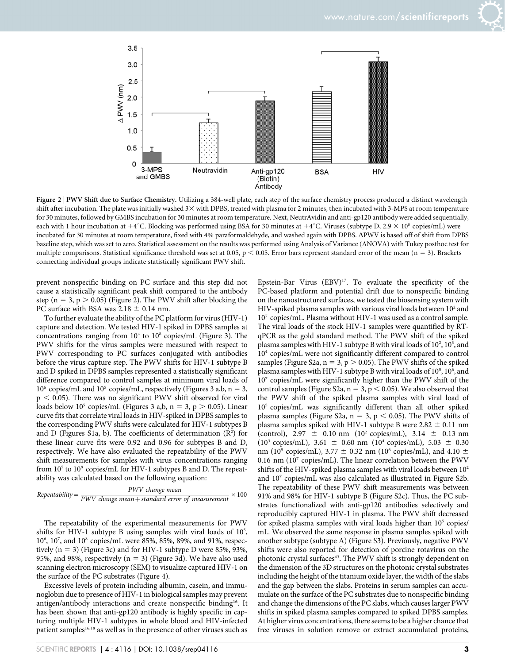

Figure 2 | PWV Shift due to Surface Chemistry. Utilizing a 384-well plate, each step of the surface chemistry process produced a distinct wavelength shift after incubation. The plate was initially washed  $3\times$  with DPBS, treated with plasma for 2 minutes, then incubated with  $3-MPS$  at room temperature for 30 minutes, followed by GMBS incubation for 30 minutes at room temperature. Next, NeutrAvidin and anti-gp120 antibody were added sequentially, each with 1 hour incubation at +4°C. Blocking was performed using BSA for 30 minutes at +4°C. Viruses (subtype D, 2.9  $\times$  10<sup>8</sup> copies/mL) were incubated for 30 minutes at room temperature, fixed with 4% paraformaldehyde, and washed again with DPBS.  $\Delta$ PWV is based off of shift from DPBS baseline step, which was set to zero. Statistical assessment on the results was performed using Analysis of Variance (ANOVA) with Tukey posthoc test for multiple comparisons. Statistical significance threshold was set at 0.05,  $p < 0.05$ . Error bars represent standard error of the mean (n = 3). Brackets connecting individual groups indicate statistically significant PWV shift.

prevent nonspecific binding on PC surface and this step did not cause a statistically significant peak shift compared to the antibody step ( $n = 3$ ,  $p > 0.05$ ) (Figure 2). The PWV shift after blocking the PC surface with BSA was  $2.18 \pm 0.14$  nm.

To further evaluate the ability of the PC platform for virus (HIV-1) capture and detection. We tested HIV-1 spiked in DPBS samples at concentrations ranging from  $10^4$  to  $10^8$  copies/mL (Figure 3). The PWV shifts for the virus samples were measured with respect to PWV corresponding to PC surfaces conjugated with antibodies before the virus capture step. The PWV shifts for HIV-1 subtype B and D spiked in DPBS samples represented a statistically significant difference compared to control samples at minimum viral loads of  $10^6$  copies/mL and  $10^5$  copies/mL, respectively (Figures 3 a,b, n = 3,  $p < 0.05$ ). There was no significant PWV shift observed for viral loads below 10<sup>5</sup> copies/mL (Figures 3 a,b, n = 3, p  $> 0.05$ ). Linear curve fits that correlate viral loads in HIV-spiked in DPBS samples to the corresponding PWV shifts were calculated for HIV-1 subtypes B and D (Figures S1a, b). The coefficients of determination  $(R^2)$  for these linear curve fits were 0.92 and 0.96 for subtypes B and D, respectively. We have also evaluated the repeatability of the PWV shift measurements for samples with virus concentrations ranging from  $10^5$  to  $10^8$  copies/mL for HIV-1 subtypes B and D. The repeatability was calculated based on the following equation:

$$
Repeatability = \frac{PWV \ change \ mean}{PWV \ change \ mean + standard \ error \ of \ measurement} \times 100
$$

The repeatability of the experimental measurements for PWV shifts for HIV-1 subtype B using samples with viral loads of 10<sup>5</sup>, 106 , 107 , and 108 copies/mL were 85%, 85%, 89%, and 91%, respectively ( $n = 3$ ) (Figure 3c) and for HIV-1 subtype D were 85%, 93%, 95%, and 98%, respectively ( $n = 3$ ) (Figure 3d). We have also used scanning electron microscopy (SEM) to visualize captured HIV-1 on the surface of the PC substrates (Figure 4).

Excessive levels of protein including albumin, casein, and immunoglobin due to presence of HIV-1 in biological samples may prevent antigen/antibody interactions and create nonspecific binding<sup>16</sup>. It has been shown that anti-gp120 antibody is highly specific in capturing multiple HIV-1 subtypes in whole blood and HIV-infected patient samples<sup>16,18</sup> as well as in the presence of other viruses such as Epstein-Bar Virus (EBV)<sup>17</sup>. To evaluate the specificity of the PC-based platform and potential drift due to nonspecific binding on the nanostructured surfaces, we tested the biosensing system with HIV-spiked plasma samples with various viral loads between  $10^2$  and 107 copies/mL. Plasma without HIV-1 was used as a control sample. The viral loads of the stock HIV-1 samples were quantified by RTqPCR as the gold standard method. The PWV shift of the spiked plasma samples with HIV-1 subtype B with viral loads of 10<sup>2</sup>, 10<sup>3</sup>, and 104 copies/mL were not significantly different compared to control samples (Figure S2a,  $n = 3$ ,  $p > 0.05$ ). The PWV shifts of the spiked plasma samples with HIV-1 subtype B with viral loads of 10<sup>5</sup>, 10<sup>6</sup>, and 107 copies/mL were significantly higher than the PWV shift of the control samples (Figure S2a,  $n = 3$ ,  $p < 0.05$ ). We also observed that the PWV shift of the spiked plasma samples with viral load of 105 copies/mL was significantly different than all other spiked plasma samples (Figure S2a, n = 3, p < 0.05). The PWV shifts of plasma samples spiked with HIV-1 subtype B were  $2.82 \pm 0.11$  nm (control), 2.97  $\pm$  0.10 nm (10<sup>2</sup> copies/mL), 3.14  $\pm$  0.13 nm ( $10^3$  copies/mL),  $3.61 \pm 0.60$  nm ( $10^4$  copies/mL),  $5.03 \pm 0.30$ nm (10<sup>5</sup> copies/mL), 3.77  $\pm$  0.32 nm (10<sup>6</sup> copies/mL), and 4.10  $\pm$ 0.16 nm ( $10<sup>7</sup>$  copies/mL). The linear correlation between the PWV shifts of the HIV-spiked plasma samples with viral loads between  $10<sup>2</sup>$ and 107 copies/mL was also calculated as illustrated in Figure S2b. The repeatability of these PWV shift measurements was between 91% and 98% for HIV-1 subtype B (Figure S2c). Thus, the PC substrates functionalized with anti-gp120 antibodies selectively and reproducibly captured HIV-1 in plasma. The PWV shift decreased for spiked plasma samples with viral loads higher than  $10<sup>5</sup>$  copies/ mL. We observed the same response in plasma samples spiked with another subtype (subtype A) (Figure S3). Previously, negative PWV shifts were also reported for detection of porcine rotavirus on the photonic crystal surfaces<sup>43</sup>. The PWV shift is strongly dependent on the dimension of the 3D structures on the photonic crystal substrates including the height of the titanium oxide layer, the width of the slabs and the gap between the slabs. Proteins in serum samples can accumulate on the surface of the PC substrates due to nonspecific binding and change the dimensions of the PC slabs, which causes larger PWV shifts in spiked plasma samples compared to spiked DPBS samples. At higher virus concentrations, there seems to be a higher chance that free viruses in solution remove or extract accumulated proteins,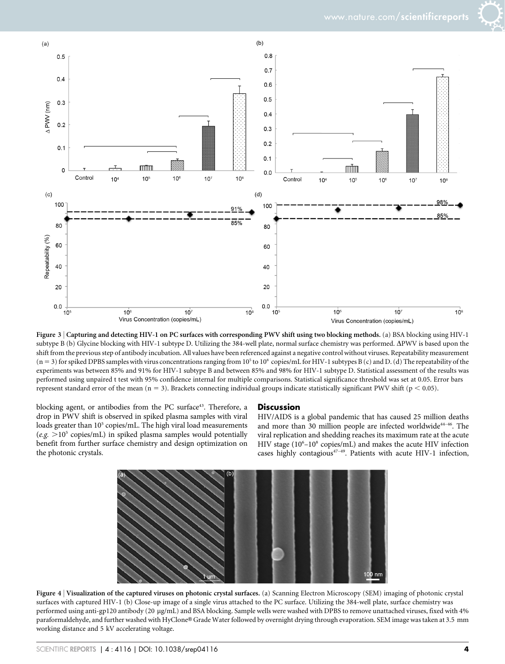

Figure 3 <sup>|</sup> Capturing and detecting HIV-1 on PC surfaces with corresponding PWV shift using two blocking methods. (a) BSA blocking using HIV-1 subtype B (b) Glycine blocking with HIV-1 subtype D. Utilizing the 384-well plate, normal surface chemistry was performed.  $\Delta\text{PWV}$  is based upon the shift from the previous step of antibody incubation. All values have been referenced against a negative control without viruses. Repeatability measurement  $(n = 3)$  for spiked DPBS samples with virus concentrations ranging from 10<sup>5</sup> to 10<sup>8</sup> copies/mL for HIV-1 subtypes B (c) and D. (d) The repeatability of the experiments was between 85% and 91% for HIV-1 subtype B and between 85% and 98% for HIV-1 subtype D. Statistical assessment of the results was performed using unpaired t test with 95% confidence internal for multiple comparisons. Statistical significance threshold was set at 0.05. Error bars represent standard error of the mean  $(n = 3)$ . Brackets connecting individual groups indicate statistically significant PWV shift ( $p < 0.05$ ).

blocking agent, or antibodies from the PC surface<sup>43</sup>. Therefore, a drop in PWV shift is observed in spiked plasma samples with viral loads greater than 10<sup>5</sup> copies/mL. The high viral load measurements  $(e.g. >10<sup>5</sup> copies/mL)$  in spiked plasma samples would potentially benefit from further surface chemistry and design optimization on the photonic crystals.

#### **Discussion**

HIV/AIDS is a global pandemic that has caused 25 million deaths and more than 30 million people are infected worldwide<sup>44-46</sup>. The viral replication and shedding reaches its maximum rate at the acute HIV stage (10<sup>6</sup>-10<sup>8</sup> copies/mL) and makes the acute HIV infection cases highly contagious<sup>47-49</sup>. Patients with acute HIV-1 infection,



Figure 4 | Visualization of the captured viruses on photonic crystal surfaces. (a) Scanning Electron Microscopy (SEM) imaging of photonic crystal surfaces with captured HIV-1 (b) Close-up image of a single virus attached to the PC surface. Utilizing the 384-well plate, surface chemistry was performed using anti-gp120 antibody (20 µg/mL) and BSA blocking. Sample wells were washed with DPBS to remove unattached viruses, fixed with 4% paraformaldehyde, and further washed with HyClone® Grade Water followed by overnight drying through evaporation. SEM image was taken at 3.5 mm working distance and 5 kV accelerating voltage.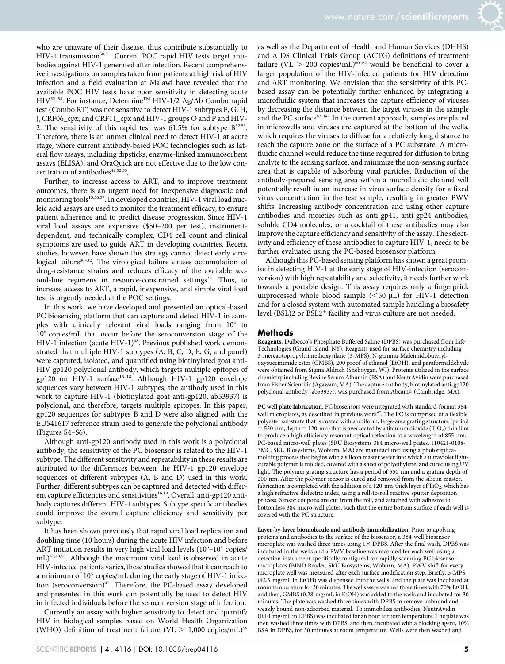who are unaware of their disease, thus contribute substantially to HIV-1 transmission<sup>50,51</sup>. Current POC rapid HIV tests target antibodies against HIV-1 generated after infection. Recent comprehensive investigations on samples taken from patients at high risk of HIV infection and a field evaluation at Malawi have revealed that the available POC HIV tests have poor sensitivity in detecting acute HIV<sup>52-54</sup>. For instance, Determine<sup>™</sup> HIV-1/2 Ag/Ab Combo rapid test (Combo RT) was not sensitive to detect HIV-1 subtypes F, G, H, J, CRF06\_cpx, and CRF11\_cpx and HIV-1 groups O and P and HIV-2. The sensitivity of this rapid test was  $61.5\%$  for subtype  $B^{52,53}$ . Therefore, there is an unmet clinical need to detect HIV-1 at acute stage, where current antibody-based POC technologies such as lateral flow assays, including dipsticks, enzyme-linked immunosorbent assays (ELISA), and OraQuick are not effective due to the low concentration of antibodies $49,52,55$ .

Further, to increase access to ART, and to improve treatment outcomes, there is an urgent need for inexpensive diagnostic and monitoring tools<sup>15,56,57</sup>. In developed countries, HIV-1 viral load nucleic acid assays are used to monitor the treatment efficacy, to ensure patient adherence and to predict disease progression. Since HIV-1 viral load assays are expensive (\$50–200 per test), instrumentdependent, and technically complex, CD4 cell count and clinical symptoms are used to guide ART in developing countries. Recent studies, however, have shown this strategy cannot detect early virological failure<sup>30-32</sup>. The virological failure causes accumulation of drug-resistance strains and reduces efficacy of the available second-line regimens in resource-constrained settings<sup>32</sup>. Thus, to increase access to ART, a rapid, inexpensive, and simple viral load test is urgently needed at the POC settings.

In this work, we have developed and presented an optical-based PC biosensing platform that can capture and detect HIV-1 in samples with clinically relevant viral loads ranging from  $10<sup>4</sup>$  to 108 copies/mL that occur before the seroconversion stage of the HIV-1 infection (acute HIV-1)<sup>48</sup>. Previous published work demonstrated that multiple HIV-1 subtypes (A, B, C, D, E, G, and panel) were captured, isolated, and quantified using biotinylated goat anti-HIV gp120 polyclonal antibody, which targets multiple epitopes of gp120 on HIV-1 surface<sup>16-18</sup>. Although HIV-1 gp120 envelope sequences vary between HIV-1 subtypes, the antibody used in this work to capture HIV-1 (biotinylated goat anti-gp120, ab53937) is polyclonal, and therefore, targets multiple epitopes. In this paper, gp120 sequences for subtypes B and D were also aligned with the EU541617 reference strain used to generate the polyclonal antibody (Figures S4–S6).

Although anti-gp120 antibody used in this work is a polyclonal antibody, the sensitivity of the PC biosensor is related to the HIV-1 subtype. The different sensitivity and repeatability in these results are attributed to the differences between the HIV-1 gp120 envelope sequences of different subtypes (A, B and D) used in this work. Further, different subtypes can be captured and detected with different capture efficiencies and sensitivities<sup>16,18</sup>. Overall, anti-gp120 antibody captures different HIV-1 subtypes. Subtype specific antibodies could improve the overall capture efficiency and sensitivity per subtype.

It has been shown previously that rapid viral load replication and doubling time (10 hours) during the acute HIV infection and before ART initiation results in very high viral load levels (10<sup>5</sup>-10<sup>8</sup> copies/ mL)47,48,58. Although the maximum viral load is observed in acute HIV-infected patients varies, these studies showed that it can reach to a minimum of  $10^5$  copies/mL during the early stage of HIV-1 infection (seroconversion)<sup>47</sup>. Therefore, the PC-based assay developed and presented in this work can potentially be used to detect HIV in infected individuals before the seroconversion stage of infection.

Currently an assay with higher sensitivity to detect and quantify HIV in biological samples based on World Health Organization (WHO) definition of treatment failure (VL  $> 1,000$  copies/mL)<sup>59</sup> as well as the Department of Health and Human Services (DHHS) and AIDS Clinical Trials Group (ACTG) definitions of treatment failure (VL  $> 200$  copies/mL)<sup>60–62</sup> would be beneficial to cover a larger population of the HIV-infected patients for HIV detection and ART monitoring. We envision that the sensitivity of this PCbased assay can be potentially further enhanced by integrating a microfluidic system that increases the capture efficiency of viruses by decreasing the distance between the target viruses in the sample and the PC surface<sup>63-66</sup>. In the current approach, samples are placed in microwells and viruses are captured at the bottom of the wells, which requires the viruses to diffuse for a relatively long distance to reach the capture zone on the surface of a PC substrate. A microfluidic channel would reduce the time required for diffusion to bring analyte to the sensing surface, and minimize the non-sensing surface area that is capable of adsorbing viral particles. Reduction of the antibody-prepared sensing area within a microfluidic channel will potentially result in an increase in virus surface density for a fixed virus concentration in the test sample, resulting in greater PWV shifts. Increasing antibody concentration and using other capture antibodies and moieties such as anti-gp41, anti-gp24 antibodies, soluble CD4 molecules, or a cocktail of these antibodies may also improve the capture efficiency and sensitivity of the assay. The selectivity and efficiency of these antibodies to capture HIV-1, needs to be further evaluated using the PC-based biosensor platform.

Although this PC-based sensing platform has shown a great promise in detecting HIV-1 at the early stage of HIV-infection (seroconversion) with high repeatability and selectivity, it needs further work towards a portable design. This assay requires only a fingerprick unprocessed whole blood sample  $(<50 \mu L$ ) for HIV-1 detection and for a closed system with automated sample handling a biosafety level (BSL)2 or  $BSL2^+$  facility and virus culture are not needed.

#### Methods

Reagents. Dulbecco's Phosphate Buffered Saline (DPBS) was purchased from Life Technologies (Grand Island, NY). Reagents used for surface chemistry including 3-mercaptopropyltrimethoxysilane (3-MPS), N-gamma-Maleimidobutyryloxysuccinimide ester (GMBS), 200 proof of ethanol (EtOH), and paraformaldehyde were obtained from Sigma Aldrich (Sheboygan, WI). Proteins utilized in the surface chemistry including Bovine Serum Albumin (BSA) and NeutrAvidin were purchased from Fisher Scientific (Agawam, MA). The capture antibody, biotinylated anti-gp120 polyclonal antibody (ab53937), was purchased from Abcam® (Cambridge, MA).

PC well plate fabrication. PC biosensors were integrated with standard-format 384 well microplates, as described in previous work $67$ . The PC is comprised of a flexible polyester substrate that is coated with a uniform, large-area grating structure (period  $=$  550 nm, depth = 120 nm) that is overcoated by a titanium dioxide (TiO<sub>2</sub>) thin film to produce a high efficiency resonant optical reflection at a wavelength of 855 nm. PC-based micro-well plates (SRU Biosystems 384 micro-well plates, 110421-0108- 3MC, SRU Biosystems, Woburn, MA) are manufactured using a photoreplicamolding process that begins with a silicon master wafer into which a ultraviolet lightcurable polymer is molded, covered with a sheet of polyethylene, and cured using UV light. The polymer grating structure has a period of 550 nm and a grating depth of 200 nm. After the polymer sensor is cured and removed from the silicon master, fabrication is completed with the addition of a 120 nm-thick layer of  $TiO<sub>2</sub>$ , which has a high refractive dielectric index, using a roll-to-roll reactive sputter deposition process. Sensor coupons are cut from the roll, and attached with adhesive to bottomless 384 micro-well plates, such that the entire bottom surface of each well is covered with the PC structure.

Layer-by-layer biomolecule and antibody immobilization. Prior to applying proteins and antibodies to the surface of the biosensor, a 384-well biosensor microplate was washed three times using  $1 \times$  DPBS. After the final wash, DPBS was incubated in the wells and a PWV baseline was recorded for each well using a detection instrument specifically configured for rapidly scanning PC biosensor microplates (BIND Reader, SRU Biosystems, Woburn, MA). PWV shift for every microplate well was measured after each surface modification step. Briefly, 3-MPS (42.3 mg/mL in EtOH) was dispensed into the wells, and the plate was incubated at room temperature for 30 minutes. The wells were washed three times with 70% EtOH, and then, GMBS (0.28 mg/mL in EtOH) was added to the wells and incubated for 30 minutes. The plate was washed three times with DPBS to remove unbound and weakly bound non-adsorbed material. To immobilize antibodies, NeutrAvidin (0.10 mg/mL in DPBS) was incubated for an hour at room temperature. The plate was then washed three times with DPBS, and then, incubated with a blocking agent, 10% BSA in DPBS, for 30 minutes at room temperature. Wells were then washed and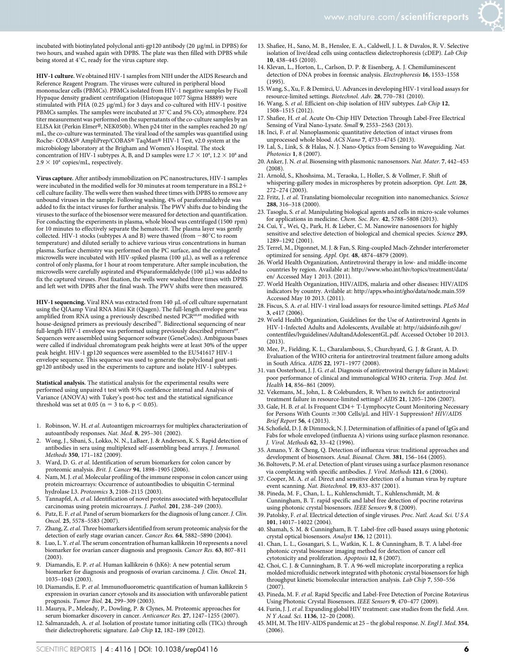

incubated with biotinylated polyclonal anti-gp120 antibody (20 µg/mL in DPBS) for two hours, and washed again with DPBS. The plate was then filled with DPBS while being stored at 4°C, ready for the virus capture step.

HIV-1 culture. We obtained HIV-1 samples from NIH under the AIDS Research and Reference Reagent Program. The viruses were cultured in peripheral blood mononuclear cells (PBMCs). PBMCs isolated from HIV-1 negative samples by Ficoll Hypaque density gradient centrifugation (Histopaque 1077 Sigma H8889) were stimulated with PHA (0.25 µg/mL) for 3 days and co-cultured with HIV-1 positive PBMCs samples. The samples were incubated at 37 $^{\circ}$ C and 5% CO<sub>2</sub> atmosphere. P24 titer measurement was performed on the supernatants of the co-culture samples by an ELISA kit (Perkin Elmer®, NEK050b). When p24 titer in the samples reached 20 ng/ mL, the co-culture was terminated. The viral load of the samples was quantified using Roche- COBAS® AmpliPrep/COBAS® TaqMan® HIV-1 Test, v2.0 system at the microbiology laboratory at the Brigham and Women's Hospital. The stock concentration of HIV-1 subtypes A, B, and D samples were  $1.7 \times 10^8$ ,  $1.2 \times 10^8$  and  $2.9 \times 10^8$  copies/mL, respectively.

Virus capture. After antibody immobilization on PC nanostructures, HIV-1 samples were incubated in the modified wells for 30 minutes at room temperature in a BSL2+ cell culture facility. The wells were then washed three times with DPBS to remove any unbound viruses in the sample. Following washing, 4% of paraformaldehyde was added to fix the intact viruses for further analysis. The PWV shifts due to binding the viruses to the surface of the biosensor were measured for detection and quantification. For conducting the experiments in plasma, whole blood was centrifuged (1500 rpm) for 10 minutes to effectively separate the hematocrit. The plasma layer was gently collected. HIV-1 stocks (subtypes A and B) were thawed (from  $-80^{\circ}$ C to room temperature) and diluted serially to achieve various virus concentrations in human plasma. Surface chemistry was performed on the PC surface, and the conjugated microwells were incubated with HIV-spiked plasma (100  $\mu$ L), as well as a reference control of only plasma, for 1 hour at room temperature. After sample incubation, the microwells were carefully aspirated and 4%paraformaldehyde (100  $\mu$ L) was added to fix the captured viruses. Post fixation, the wells were washed three times with DPBS and left wet with DPBS after the final wash. The PWV shifts were then measured.

HIV-1 sequencing. Viral RNA was extracted from 140 µL of cell culture supernatant using the QIAamp Viral RNA Mini Kit (Qiagen). The full-length envelope gene was amplified from RNA using a previously described nested PCR<sup>68,69</sup> modified with house-designed primers as previously described<sup>70</sup>. Bidirectional sequencing of near full-length HIV-1 envelope was performed using previously described primers<sup>69</sup>. Sequences were assembled using Sequencer software (GeneCodes). Ambiguous bases were called if individual chromatogram peak heights were at least 30% of the upper peak height. HIV-1 gp120 sequences were assembled to the EU541617 HIV-1 envelope sequence. This sequence was used to generate the polyclonal goat antigp120 antibody used in the experiments to capture and isolate HIV-1 subtypes.

Statistical analysis. The statistical analysis for the experimental results were performed using unpaired t test with 95% confidence internal and Analysis of Variance (ANOVA) with Tukey's post-hoc test and the statistical significance threshold was set at 0.05 ( $n = 3$  to 6,  $p < 0.05$ ).

- 1. Robinson, W. H. et al. Autoantigen microarrays for multiplex characterization of autoantibody responses. Nat. Med. 8, 295–301 (2002).
- 2. Wong, J., Sibani, S., Lokko, N. N., LaBaer, J. & Anderson, K. S. Rapid detection of antibodies in sera using multiplexed self-assembling bead arrays. J. Immunol. Methods 350, 171–182 (2009).
- 3. Ward, D. G. et al. Identification of serum biomarkers for colon cancer by proteomic analysis. Brit. J. Cancer 94, 1898–1905 (2006).
- 4. Nam, M. J.et al. Molecular profiling of the immune response in colon cancer using protein microarrays: Occurrence of autoantibodies to ubiquitin C-terminal hydrolase L3. Proteomics 3, 2108–2115 (2003).
- 5. Tannapfel, A. et al. Identification of novel proteins associated with hepatocellular carcinomas using protein microarrays. J. Pathol. 201, 238–249 (2003).
- 6. Patz, E. F.et al. Panel of serum biomarkers for the diagnosis of lung cancer. J. Clin. Oncol. 25, 5578–5583 (2007).
- Zhang, Z. et al. Three biomarkers identified from serum proteomic analysis for the detection of early stage ovarian cancer. Cancer Res. 64, 5882–5890 (2004).
- 8. Luo, L. Y. et al. The serum concentration of human kallikrein 10 represents a novel biomarker for ovarian cancer diagnosis and prognosis. Cancer Res. 63, 807–811  $(2003)$
- 9. Diamandis, E. P. et al. Human kallikrein 6 (hK6): A new potential serum biomarker for diagnosis and prognosis of ovarian carcinoma. J. Clin. Oncol. 21, 1035–1043 (2003).
- 10. Diamandis, E. P. et al. Immunofluorometric quantification of human kallikrein 5 expression in ovarian cancer cytosols and its association with unfavorable patient prognosis. Tumor Biol. 24, 299–309 (2003).
- 11. Maurya, P., Meleady, P., Dowling, P. & Clynes, M. Proteomic approaches for serum biomarker discovery in cancer. Anticancer Res. 27, 1247–1255 (2007).
- 12. Salmanzadeh, A. et al. Isolation of prostate tumor initiating cells (TICs) through their dielectrophoretic signature. Lab Chip 12, 182–189 (2012).
- 13. Shafiee, H., Sano, M. B., Henslee, E. A., Caldwell, J. L. & Davalos, R. V. Selective isolation of live/dead cells using contactless dielectrophoresis (cDEP). Lab Chip 10, 438–445 (2010).
- 14. Klevan, L., Horton, L., Carlson, D. P. & Eisenberg, A. J. Chemiluminescent detection of DNA probes in forensic analysis. Electrophoresis 16, 1553–1558 (1995).
- 15. Wang, S., Xu, F. & Demirci, U. Advances in developing HIV-1 viral load assays for resource-limited settings. Biotechnol. Adv. 28, 770-781 (2010).
- 16. Wang, S. et al. Efficient on-chip isolation of HIV subtypes. Lab Chip 12, 1508–1515 (2012).
- 17. Shafiee, H. et al. Acute On-Chip HIV Detection Through Label-Free Electrical Sensing of Viral Nano-Lysate. Small 9, 2553–2563 (2013).
- 18. Inci, F. et al. Nanoplasmonic quantitative detection of intact viruses from unprocessed whole blood. ACS Nano 7, 4733-4745 (2013).
- 19. Lal, S., Link, S. & Halas, N. J. Nano-Optics from Sensing to Waveguiding. Nat. Photonics 1, 8 (2007).
- 20. Anker, J. N.et al. Biosensing with plasmonic nanosensors. Nat. Mater. 7, 442–453 (2008).
- 21. Arnold, S., Khoshsima, M., Teraoka, I., Holler, S. & Vollmer, F. Shift of whispering-gallery modes in microspheres by protein adsorption. Opt. Lett. 28, 272–274 (2003).
- 22. Fritz, J. et al. Translating biomolecular recognition into nanomechanics. Science 288, 316–318 (2000).
- 23. Tasoglu, S. et al. Manipulating biological agents and cells in micro-scale volumes for applications in medicine. Chem. Soc. Rev. 42, 5788–5808 (2013).
- 24. Cui, Y., Wei, Q., Park, H. & Lieber, C. M. Nanowire nanosensors for highly sensitive and selective detection of biological and chemical species. Science 293, 1289–1292 (2001).
- 25. Terrel, M., Digonnet, M. J. & Fan, S. Ring-coupled Mach-Zehnder interferometer optimized for sensing. Appl. Opt. 48, 4874–4879 (2009).
- 26. World Health Organization, Antiretroviral therapy in low- and middle-income countries by region. Available at: [http://www.who.int/hiv/topics/treatment/data/](http://www.who.int/hiv/topics/treatment/data/en) [en/](http://www.who.int/hiv/topics/treatment/data/en) Accessed May 1 2013. (2011).
- 27. World Health Organization, HIV/AIDS, malaria and other diseases: HIV/AIDS indicators by country. Avilable at:<http://apps.who.int/gho/data/node.main.559> Accessed May 10 2013. (2011).
- 28. Fiscus, S. A. et al. HIV-1 viral load assays for resource-limited settings. PLoS Med 3, e417 (2006).
- 29. World Health Organization, Guidelines for the Use of Antiretroviral Agents in HIV-1-Infected Adults and Adolescents, Available at: [http://aidsinfo.nih.gov/](http://aidsinfo.nih.gov/contentfiles/lvguidelines/AdultandAdolescentGL.pdf) [contentfiles/lvguidelines/AdultandAdolescentGL.pdf.](http://aidsinfo.nih.gov/contentfiles/lvguidelines/AdultandAdolescentGL.pdf) Accessed October 10 2013.  $(2013)$
- 30. Mee, P., Fielding, K. L., Charalambous, S., Churchyard, G. J. & Grant, A. D. Evaluation of the WHO criteria for antiretroviral treatment failure among adults in South Africa. AIDS 22, 1971–1977 (2008).
- 31. van Oosterhout, J. J. G. et al. Diagnosis of antiretroviral therapy failure in Malawi: poor performance of clinical and immunological WHO criteria. Trop. Med. Int. Health 14, 856-861 (2009).
- 32. Vekemans, M., John, L. & Colebunders, R. When to switch for antiretroviral treatment failure in resource-limited settings? AIDS 21, 1205–1206 (2007).
- 33. Gale, H. B. et al. Is Frequent CD4+ T-Lymphocyte Count Monitoring Necessary for Persons With Counts  $\geq$ 300 Cells/ $\mu L$  and HIV-1 Suppression? HIV/AIDS Brief Report 56, 4 (2013).
- 34. Schofield, D. J. & Dimmock, N. J. Determination of affinities of a panel of IgGs and Fabs for whole enveloped (influenza A) virions using surface plasmon resonance. J. Virol. Methods 62, 33–42 (1996).
- 35. Amano, Y. & Cheng, Q. Detection of influenza virus: traditional approaches and development of biosensors. Anal. Bioanal. Chem. 381, 156–164 (2005).
- 36. Boltovets, P. M.et al. Detection of plant viruses using a surface plasmon resonance via complexing with specific antibodies. J. Virol. Methods 121, 6 (2004).
- 37. Cooper, M. A. et al. Direct and sensitive detection of a human virus by rupture event scanning. Nat. Biotechnol. 19, 833–837 (2001).
- 38. Pineda, M. F., Chan, L. L., Kuhlenschmidt, T., Kuhlenschmidt, M. & Cunningham, B. T. rapid specific and label free detection of pocrine rotavirus using photonic crystal biosensors. IEEE Sensors 9, 8 (2009).
- 39. Patolsky, F. et al. Electrical detection of single viruses. Proc. Natl. Acad. Sci. U S A 101, 14017–14022 (2004).
- 40. Shamah, S. M. & Cunningham, B. T. Label-free cell-based assays using photonic crystal optical biosensors. Analyst 136, 12 (2011).
- 41. Chan, L. L., Gosangari, S. L., Watkin, K. L. & Cunningham, B. T. A label-free photonic crystal biosensor imaging method for detection of cancer cell cytotoxicity and proliferation. Apoptosis 12, 8 (2007).
- 42. Choi, C. J. & Cunningham, B. T. A 96-well microplate incorporating a replica molded microfluidic network integrated with photonic crystal biosensors for high throughput kinetic biomolecular interaction analysis. Lab Chip 7, 550–556 (2007).
- 43. Pineda, M. F. et al. Rapid Specific and Label-Free Detection of Porcine Rotavirus Using Photonic Crystal Biosensors. IEEE Sensors 9, 470–477 (2009).
- 44. Furin, J. J. et al. Expanding global HIV treatment: case studies from the field. Ann. N Y Acad. Sci. 1136, 12–20 (2008).
- 45. MH, M. The HIV-AIDS pandemic at 25 the global response. N. Engl J. Med. 354, (2006).